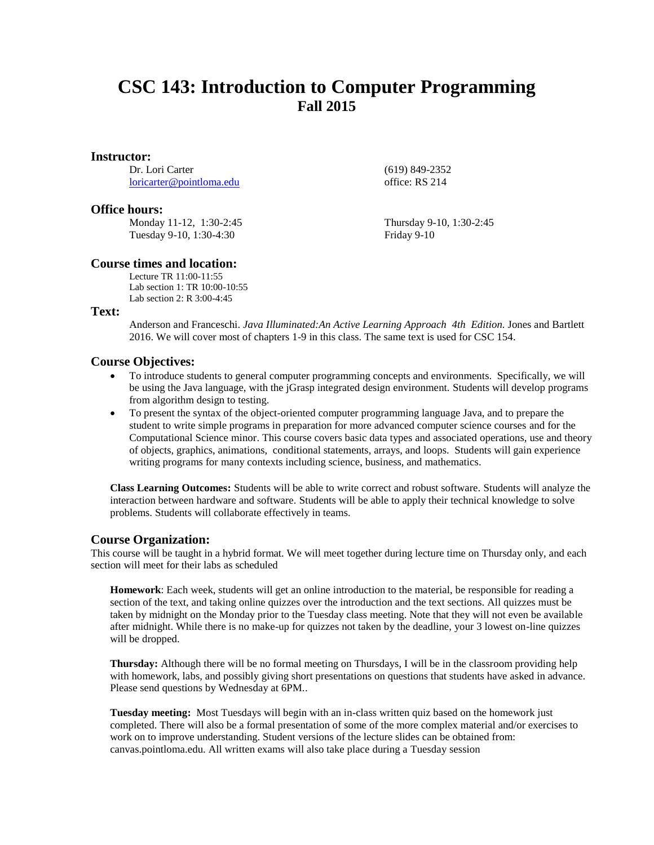# **CSC 143: Introduction to Computer Programming Fall 2015**

#### **Instructor:**

Dr. Lori Carter [loricarter@pointloma.edu](mailto:loricarter@pointloma.edu)

#### **Office hours:**

Monday 11-12, 1:30-2:45 Tuesday 9-10, 1:30-4:30

office: RS 214

Thursday 9-10, 1:30-2:45

(619) 849-2352

Friday 9-10

### **Course times and location:**

Lecture TR 11:00-11:55 Lab section 1: TR 10:00-10:55 Lab section 2: R 3:00-4:45

## **Text:**

Anderson and Franceschi. *Java Illuminated:An Active Learning Approach 4th Edition.* Jones and Bartlett 2016. We will cover most of chapters 1-9 in this class. The same text is used for CSC 154.

## **Course Objectives:**

- To introduce students to general computer programming concepts and environments. Specifically, we will be using the Java language, with the jGrasp integrated design environment. Students will develop programs from algorithm design to testing.
- To present the syntax of the object-oriented computer programming language Java, and to prepare the student to write simple programs in preparation for more advanced computer science courses and for the Computational Science minor. This course covers basic data types and associated operations, use and theory of objects, graphics, animations, conditional statements, arrays, and loops. Students will gain experience writing programs for many contexts including science, business, and mathematics.

**Class Learning Outcomes:** Students will be able to write correct and robust software. Students will analyze the interaction between hardware and software. Students will be able to apply their technical knowledge to solve problems. Students will collaborate effectively in teams.

## **Course Organization:**

This course will be taught in a hybrid format. We will meet together during lecture time on Thursday only, and each section will meet for their labs as scheduled

**Homework**: Each week, students will get an online introduction to the material, be responsible for reading a section of the text, and taking online quizzes over the introduction and the text sections. All quizzes must be taken by midnight on the Monday prior to the Tuesday class meeting. Note that they will not even be available after midnight. While there is no make-up for quizzes not taken by the deadline, your 3 lowest on-line quizzes will be dropped.

**Thursday:** Although there will be no formal meeting on Thursdays, I will be in the classroom providing help with homework, labs, and possibly giving short presentations on questions that students have asked in advance. Please send questions by Wednesday at 6PM..

**Tuesday meeting:** Most Tuesdays will begin with an in-class written quiz based on the homework just completed. There will also be a formal presentation of some of the more complex material and/or exercises to work on to improve understanding. Student versions of the lecture slides can be obtained from: canvas.pointloma.edu. All written exams will also take place during a Tuesday session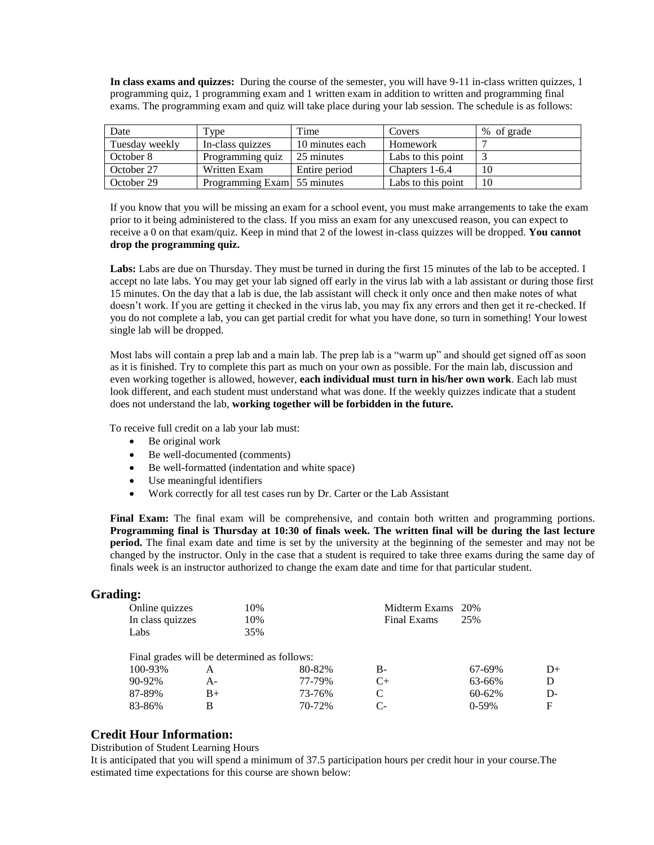**In class exams and quizzes:** During the course of the semester, you will have 9-11 in-class written quizzes, 1 programming quiz, 1 programming exam and 1 written exam in addition to written and programming final exams. The programming exam and quiz will take place during your lab session. The schedule is as follows:

| Date           | Type                        | Time            | Covers             | % of grade |
|----------------|-----------------------------|-----------------|--------------------|------------|
| Tuesday weekly | In-class quizzes            | 10 minutes each | Homework           |            |
| October 8      | Programming quiz            | 25 minutes      | Labs to this point |            |
| October 27     | Written Exam                | Entire period   | Chapters 1-6.4     | 10         |
| October 29     | Programming Exam 55 minutes |                 | Labs to this point | 10         |

If you know that you will be missing an exam for a school event, you must make arrangements to take the exam prior to it being administered to the class. If you miss an exam for any unexcused reason, you can expect to receive a 0 on that exam/quiz. Keep in mind that 2 of the lowest in-class quizzes will be dropped. **You cannot drop the programming quiz.**

Labs: Labs are due on Thursday. They must be turned in during the first 15 minutes of the lab to be accepted. I accept no late labs. You may get your lab signed off early in the virus lab with a lab assistant or during those first 15 minutes. On the day that a lab is due, the lab assistant will check it only once and then make notes of what doesn't work. If you are getting it checked in the virus lab, you may fix any errors and then get it re-checked. If you do not complete a lab, you can get partial credit for what you have done, so turn in something! Your lowest single lab will be dropped.

Most labs will contain a prep lab and a main lab. The prep lab is a "warm up" and should get signed off as soon as it is finished. Try to complete this part as much on your own as possible. For the main lab, discussion and even working together is allowed, however, **each individual must turn in his/her own work**. Each lab must look different, and each student must understand what was done. If the weekly quizzes indicate that a student does not understand the lab, **working together will be forbidden in the future.**

To receive full credit on a lab your lab must:

- Be original work
- Be well-documented (comments)
- Be well-formatted (indentation and white space)
- Use meaningful identifiers
- Work correctly for all test cases run by Dr. Carter or the Lab Assistant

**Final Exam:** The final exam will be comprehensive, and contain both written and programming portions. **Programming final is Thursday at 10:30 of finals week. The written final will be during the last lecture period.** The final exam date and time is set by the university at the beginning of the semester and may not be changed by the instructor. Only in the case that a student is required to take three exams during the same day of finals week is an instructor authorized to change the exam date and time for that particular student.

## **Grading:**

| Online quizzes   | 10%                                         |        | Midterm Exams 20% |         |    |
|------------------|---------------------------------------------|--------|-------------------|---------|----|
| In class quizzes | 10%                                         |        | Final Exams       | 25%     |    |
| Labs             | 35%                                         |        |                   |         |    |
|                  |                                             |        |                   |         |    |
|                  | Final grades will be determined as follows: |        |                   |         |    |
| 100-93%          | A                                           | 80-82% | $B-$              | 67-69%  | D+ |
| 90-92%           | $A -$                                       | 77-79% | $C+$              | 63-66%  | D  |
| 87-89%           | $B+$                                        | 73-76% | C                 | 60-62%  | D- |
| 83-86%           | B                                           | 70-72% | C-                | $0-59%$ | F  |

## **Credit Hour Information:**

Distribution of Student Learning Hours

It is anticipated that you will spend a minimum of 37.5 participation hours per credit hour in your course.The estimated time expectations for this course are shown below: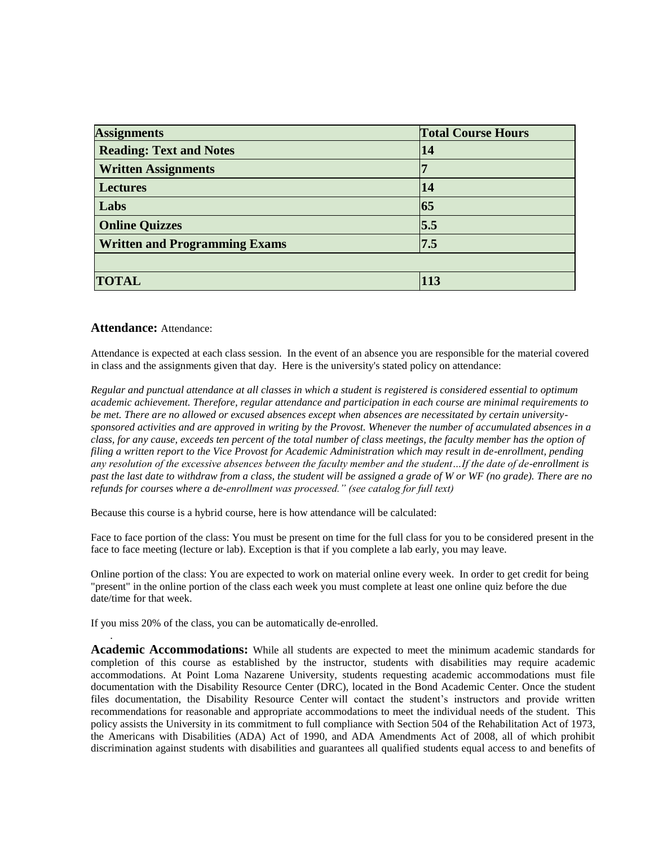| <b>Assignments</b>                   | <b>Total Course Hours</b> |  |
|--------------------------------------|---------------------------|--|
| <b>Reading: Text and Notes</b>       | 14                        |  |
| <b>Written Assignments</b>           |                           |  |
| <b>Lectures</b>                      | 14                        |  |
| Labs                                 | 65                        |  |
| <b>Online Quizzes</b>                | $\overline{5.5}$          |  |
| <b>Written and Programming Exams</b> | 7.5                       |  |
|                                      |                           |  |
| <b>TOTAL</b>                         | 113                       |  |

## **Attendance:** Attendance:

.

Attendance is expected at each class session. In the event of an absence you are responsible for the material covered in class and the assignments given that day. Here is the university's stated policy on attendance:

*Regular and punctual attendance at all classes in which a student is registered is considered essential to optimum academic achievement. Therefore, regular attendance and participation in each course are minimal requirements to be met. There are no allowed or excused absences except when absences are necessitated by certain universitysponsored activities and are approved in writing by the Provost. Whenever the number of accumulated absences in a class, for any cause, exceeds ten percent of the total number of class meetings, the faculty member has the option of filing a written report to the Vice Provost for Academic Administration which may result in de-enrollment, pending any resolution of the excessive absences between the faculty member and the student…If the date of de-enrollment is past the last date to withdraw from a class, the student will be assigned a grade of W or WF (no grade). There are no refunds for courses where a de-enrollment was processed." (see catalog for full text)*

Because this course is a hybrid course, here is how attendance will be calculated:

Face to face portion of the class: You must be present on time for the full class for you to be considered present in the face to face meeting (lecture or lab). Exception is that if you complete a lab early, you may leave.

Online portion of the class: You are expected to work on material online every week. In order to get credit for being "present" in the online portion of the class each week you must complete at least one online quiz before the due date/time for that week.

If you miss 20% of the class, you can be automatically de-enrolled.

**Academic Accommodations:** While all students are expected to meet the minimum academic standards for completion of this course as established by the instructor, students with disabilities may require academic accommodations. At Point Loma Nazarene University, students requesting academic accommodations must file documentation with the Disability Resource Center (DRC), located in the Bond Academic Center. Once the student files documentation, the Disability Resource Center will contact the student's instructors and provide written recommendations for reasonable and appropriate accommodations to meet the individual needs of the student. This policy assists the University in its commitment to full compliance with Section 504 of the Rehabilitation Act of 1973, the Americans with Disabilities (ADA) Act of 1990, and ADA Amendments Act of 2008, all of which prohibit discrimination against students with disabilities and guarantees all qualified students equal access to and benefits of